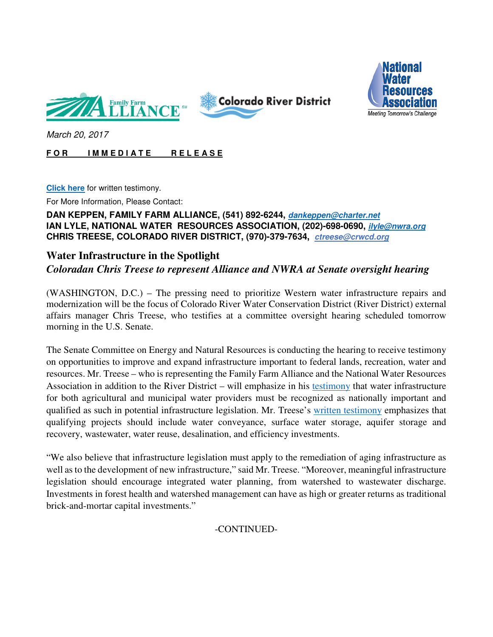





March 20, 2017

## **FOR IMMEDIATE RELEASE**

**Click here** for written testimony.

For More Information, Please Contact:

## **DAN KEPPEN, FAMILY FARM ALLIANCE, (541) 892-6244, dankeppen@charter.net IAN LYLE, NATIONAL WATER RESOURCES ASSOCIATION, (202)-698-0690, ilyle@nwra.org CHRIS TREESE, COLORADO RIVER DISTRICT, (970)-379-7634, ctreese@crwcd.org**

## **Water Infrastructure in the Spotlight**  *Coloradan Chris Treese to represent Alliance and NWRA at Senate oversight hearing*

(WASHINGTON, D.C.) – The pressing need to prioritize Western water infrastructure repairs and modernization will be the focus of Colorado River Water Conservation District (River District) external affairs manager Chris Treese, who testifies at a committee oversight hearing scheduled tomorrow morning in the U.S. Senate.

The Senate Committee on Energy and Natural Resources is conducting the hearing to receive testimony on opportunities to improve and expand infrastructure important to federal lands, recreation, water and resources. Mr. Treese – who is representing the Family Farm Alliance and the National Water Resources Association in addition to the River District – will emphasize in his testimony that water infrastructure for both agricultural and municipal water providers must be recognized as nationally important and qualified as such in potential infrastructure legislation. Mr. Treese's written testimony emphasizes that qualifying projects should include water conveyance, surface water storage, aquifer storage and recovery, wastewater, water reuse, desalination, and efficiency investments.

"We also believe that infrastructure legislation must apply to the remediation of aging infrastructure as well as to the development of new infrastructure," said Mr. Treese. "Moreover, meaningful infrastructure legislation should encourage integrated water planning, from watershed to wastewater discharge. Investments in forest health and watershed management can have as high or greater returns as traditional brick-and-mortar capital investments."

-CONTINUED-